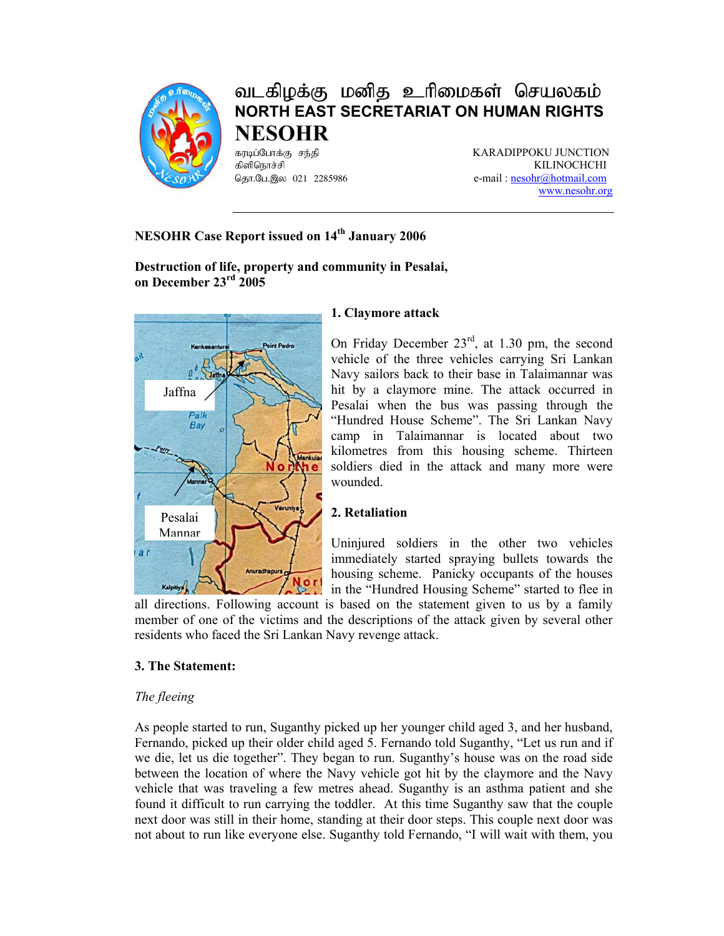

# வடகிழக்கு மனித உரிமைகள் செயலகம் **NORTH EAST SECRETARIAT ON HUMAN RIGHTS NESOHR**

fubg;Nghf;F re ;jp KARADIPPOKU JUNCTION KILINOCHCHI தொ.பே.இல 021 2285986 e-mail : nesohr@hotmail.com www.nesohr.org

# **NESOHR Case Report issued on 14<sup>th</sup> January 2006**

**Destruction of life, property and community in Pesalai, on December 23rd 2005** 



# **1. Claymore attack**

On Friday December 23rd, at 1.30 pm, the second vehicle of the three vehicles carrying Sri Lankan Navy sailors back to their base in Talaimannar was hit by a claymore mine. The attack occurred in Pesalai when the bus was passing through the "Hundred House Scheme". The Sri Lankan Navy camp in Talaimannar is located about two kilometres from this housing scheme. Thirteen soldiers died in the attack and many more were wounded.

# **2. Retaliation**

Uninjured soldiers in the other two vehicles immediately started spraying bullets towards the housing scheme. Panicky occupants of the houses in the "Hundred Housing Scheme" started to flee in

all directions. Following account is based on the statement given to us by a family member of one of the victims and the descriptions of the attack given by several other residents who faced the Sri Lankan Navy revenge attack.

# **3. The Statement:**

# *The fleeing*

As people started to run, Suganthy picked up her younger child aged 3, and her husband, Fernando, picked up their older child aged 5. Fernando told Suganthy, "Let us run and if we die, let us die together". They began to run. Suganthy's house was on the road side between the location of where the Navy vehicle got hit by the claymore and the Navy vehicle that was traveling a few metres ahead. Suganthy is an asthma patient and she found it difficult to run carrying the toddler. At this time Suganthy saw that the couple next door was still in their home, standing at their door steps. This couple next door was not about to run like everyone else. Suganthy told Fernando, "I will wait with them, you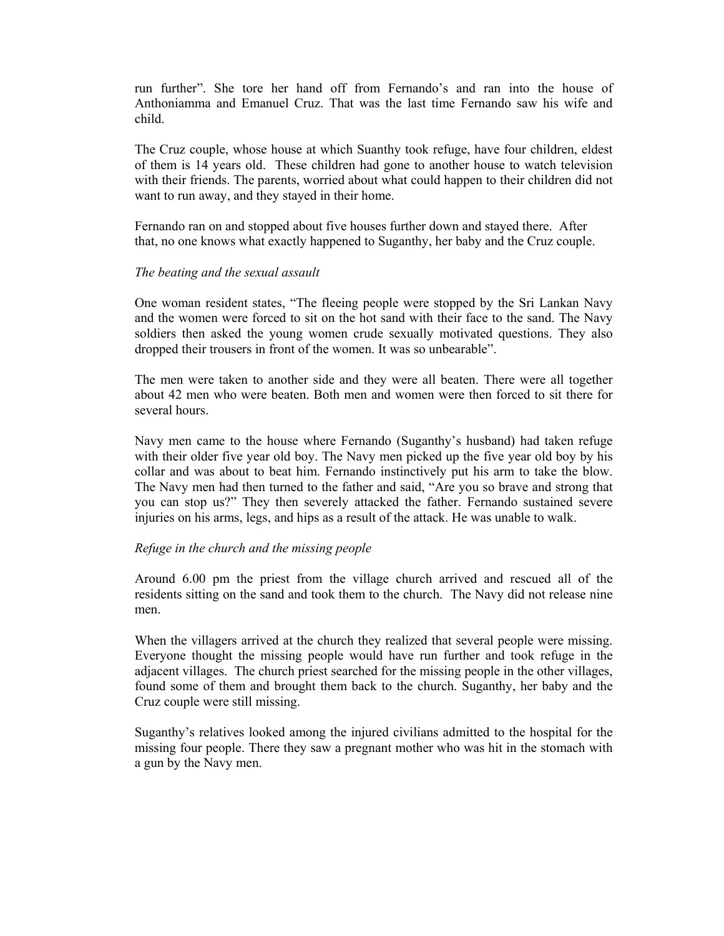run further". She tore her hand off from Fernando's and ran into the house of Anthoniamma and Emanuel Cruz. That was the last time Fernando saw his wife and child.

The Cruz couple, whose house at which Suanthy took refuge, have four children, eldest of them is 14 years old. These children had gone to another house to watch television with their friends. The parents, worried about what could happen to their children did not want to run away, and they stayed in their home.

Fernando ran on and stopped about five houses further down and stayed there. After that, no one knows what exactly happened to Suganthy, her baby and the Cruz couple.

#### *The beating and the sexual assault*

One woman resident states, "The fleeing people were stopped by the Sri Lankan Navy and the women were forced to sit on the hot sand with their face to the sand. The Navy soldiers then asked the young women crude sexually motivated questions. They also dropped their trousers in front of the women. It was so unbearable".

The men were taken to another side and they were all beaten. There were all together about 42 men who were beaten. Both men and women were then forced to sit there for several hours.

Navy men came to the house where Fernando (Suganthy's husband) had taken refuge with their older five year old boy. The Navy men picked up the five year old boy by his collar and was about to beat him. Fernando instinctively put his arm to take the blow. The Navy men had then turned to the father and said, "Are you so brave and strong that you can stop us?" They then severely attacked the father. Fernando sustained severe injuries on his arms, legs, and hips as a result of the attack. He was unable to walk.

#### *Refuge in the church and the missing people*

Around 6.00 pm the priest from the village church arrived and rescued all of the residents sitting on the sand and took them to the church. The Navy did not release nine men.

When the villagers arrived at the church they realized that several people were missing. Everyone thought the missing people would have run further and took refuge in the adjacent villages. The church priest searched for the missing people in the other villages, found some of them and brought them back to the church. Suganthy, her baby and the Cruz couple were still missing.

Suganthy's relatives looked among the injured civilians admitted to the hospital for the missing four people. There they saw a pregnant mother who was hit in the stomach with a gun by the Navy men.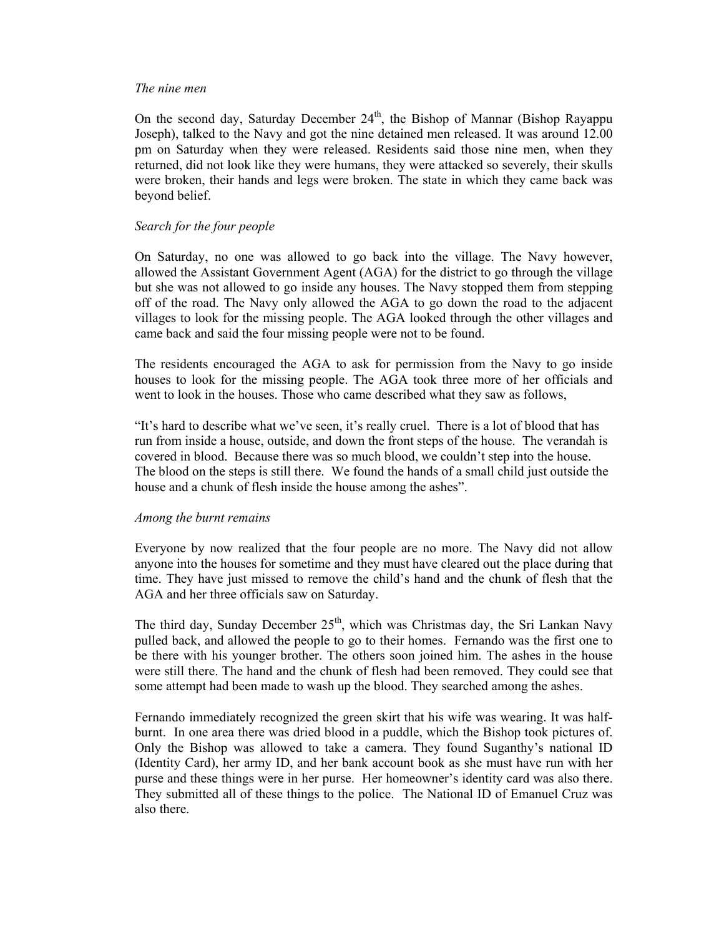#### *The nine men*

On the second day, Saturday December  $24<sup>th</sup>$ , the Bishop of Mannar (Bishop Rayappu Joseph), talked to the Navy and got the nine detained men released. It was around 12.00 pm on Saturday when they were released. Residents said those nine men, when they returned, did not look like they were humans, they were attacked so severely, their skulls were broken, their hands and legs were broken. The state in which they came back was beyond belief.

#### *Search for the four people*

On Saturday, no one was allowed to go back into the village. The Navy however, allowed the Assistant Government Agent (AGA) for the district to go through the village but she was not allowed to go inside any houses. The Navy stopped them from stepping off of the road. The Navy only allowed the AGA to go down the road to the adjacent villages to look for the missing people. The AGA looked through the other villages and came back and said the four missing people were not to be found.

The residents encouraged the AGA to ask for permission from the Navy to go inside houses to look for the missing people. The AGA took three more of her officials and went to look in the houses. Those who came described what they saw as follows,

"It's hard to describe what we've seen, it's really cruel. There is a lot of blood that has run from inside a house, outside, and down the front steps of the house. The verandah is covered in blood. Because there was so much blood, we couldn't step into the house. The blood on the steps is still there. We found the hands of a small child just outside the house and a chunk of flesh inside the house among the ashes".

#### *Among the burnt remains*

Everyone by now realized that the four people are no more. The Navy did not allow anyone into the houses for sometime and they must have cleared out the place during that time. They have just missed to remove the child's hand and the chunk of flesh that the AGA and her three officials saw on Saturday.

The third day, Sunday December  $25<sup>th</sup>$ , which was Christmas day, the Sri Lankan Navy pulled back, and allowed the people to go to their homes. Fernando was the first one to be there with his younger brother. The others soon joined him. The ashes in the house were still there. The hand and the chunk of flesh had been removed. They could see that some attempt had been made to wash up the blood. They searched among the ashes.

Fernando immediately recognized the green skirt that his wife was wearing. It was halfburnt. In one area there was dried blood in a puddle, which the Bishop took pictures of. Only the Bishop was allowed to take a camera. They found Suganthy's national ID (Identity Card), her army ID, and her bank account book as she must have run with her purse and these things were in her purse. Her homeowner's identity card was also there. They submitted all of these things to the police. The National ID of Emanuel Cruz was also there.